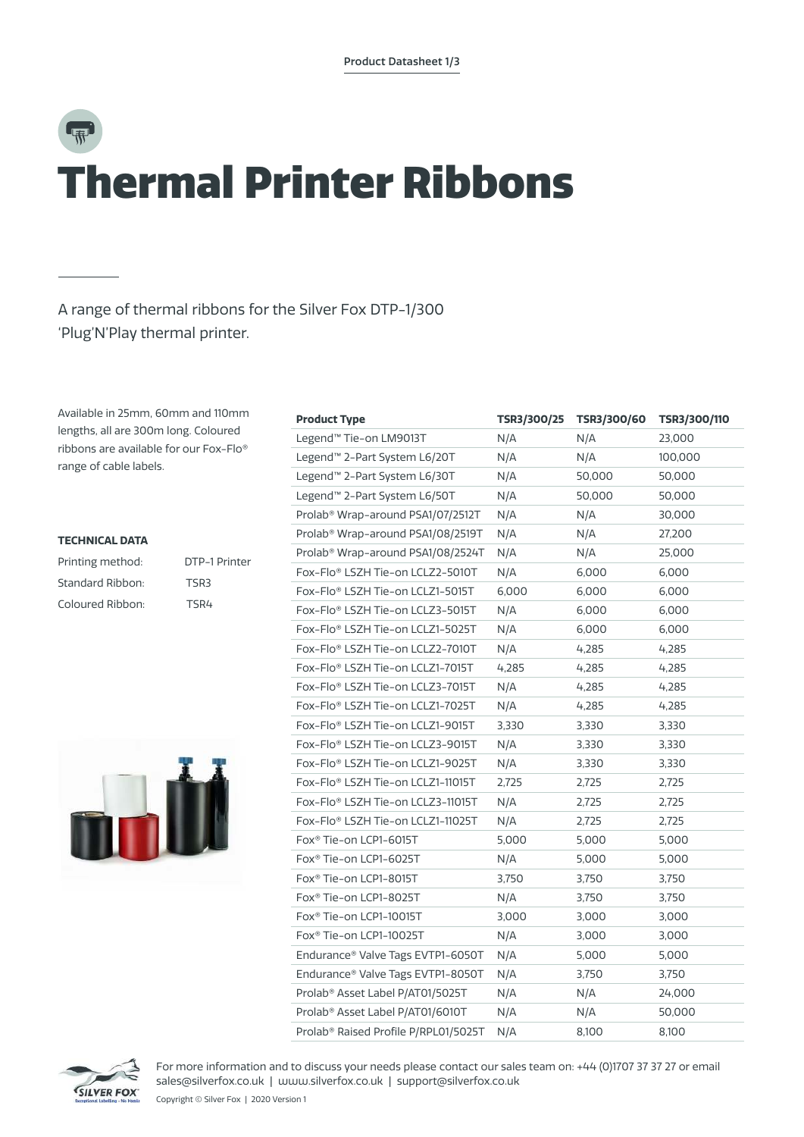## Ѭ Thermal Printer Ribbons

### A range of thermal ribbons for the Silver Fox DTP-1/300 'Plug'N'Play thermal printer.

Available in 25mm, 60mm and 110mm lengths, all are 300m long. Coloured ribbons are available for our Fox-Flo® range of cable labels.

#### **TECHNICAL DATA**

| Printing method: | DTP-1 Printer |
|------------------|---------------|
| Standard Ribbon: | TSR3          |
| Coloured Ribbon: | TSR4          |



| <b>Product Type</b>                           | TSR3/300/25 | TSR3/300/60 | TSR3/300/110 |
|-----------------------------------------------|-------------|-------------|--------------|
| Legend™ Tie-on LM9013T                        | N/A         | N/A         | 23,000       |
| Legend <sup>™</sup> 2-Part System L6/20T      | N/A         | N/A         | 100,000      |
| Legend <sup>™</sup> 2-Part System L6/30T      | N/A         | 50,000      | 50,000       |
| Legend <sup>™</sup> 2-Part System L6/50T      | N/A         | 50,000      | 50,000       |
| Prolab <sup>®</sup> Wrap-around PSA1/07/2512T | N/A         | N/A         | 30,000       |
| Prolab <sup>®</sup> Wrap-around PSA1/08/2519T | N/A         | N/A         | 27,200       |
| Prolab <sup>®</sup> Wrap-around PSA1/08/2524T | N/A         | N/A         | 25,000       |
| Fox-Flo® LSZH Tie-on LCLZ2-5010T              | N/A         | 6,000       | 6,000        |
| Fox-Flo® LSZH Tie-on LCLZ1-5015T              | 6,000       | 6,000       | 6,000        |
| Fox-Flo® LSZH Tie-on LCLZ3-5015T              | N/A         | 6,000       | 6,000        |
| Fox-Flo® LSZH Tie-on LCLZ1-5025T              | N/A         | 6,000       | 6,000        |
| Fox-Flo® LSZH Tie-on LCLZ2-7010T              | N/A         | 4,285       | 4,285        |
| Fox-Flo® LSZH Tie-on LCLZ1-7015T              | 4,285       | 4,285       | 4,285        |
| Fox-Flo® LSZH Tie-on LCLZ3-7015T              | N/A         | 4,285       | 4,285        |
| Fox-Flo® LSZH Tie-on LCLZ1-7025T              | N/A         | 4,285       | 4,285        |
| Fox-Flo® LSZH Tie-on LCLZ1-9015T              | 3,330       | 3,330       | 3,330        |
| Fox-Flo® LSZH Tie-on LCLZ3-9015T              | N/A         | 3,330       | 3,330        |
| Fox-Flo® LSZH Tie-on LCLZ1-9025T              | N/A         | 3,330       | 3,330        |
| Fox-Flo® LSZH Tie-on LCLZ1-11015T             | 2,725       | 2,725       | 2,725        |
| Fox-Flo® LSZH Tie-on LCLZ3-11015T             | N/A         | 2,725       | 2,725        |
| Fox-Flo® LSZH Tie-on LCLZ1-11025T             | N/A         | 2,725       | 2,725        |
| Fox <sup>®</sup> Tie-on LCP1-6015T            | 5,000       | 5,000       | 5,000        |
| Fox <sup>®</sup> Tie-on LCP1-6025T            | N/A         | 5,000       | 5,000        |
| Fox <sup>®</sup> Tie-on LCP1-8015T            | 3,750       | 3,750       | 3,750        |
| Fox <sup>®</sup> Tie-on LCP1-8025T            | N/A         | 3,750       | 3,750        |
| Fox <sup>®</sup> Tie-on LCP1-10015T           | 3,000       | 3,000       | 3,000        |
| Fox <sup>®</sup> Tie-on LCP1-10025T           | N/A         | 3,000       | 3,000        |
| Endurance® Valve Tags EVTP1-6050T             | N/A         | 5,000       | 5,000        |
| Endurance® Valve Tags EVTP1-8050T             | N/A         | 3,750       | 3,750        |
| Prolab <sup>®</sup> Asset Label P/AT01/5025T  | N/A         | N/A         | 24,000       |
| Prolab® Asset Label P/AT01/6010T              | N/A         | N/A         | 50,000       |
| Prolab® Raised Profile P/RPL01/5025T          | N/A         | 8,100       | 8,100        |



For more information and to discuss your needs please contact our sales team on: +44 (0)1707 37 37 27 or email sales@silverfox.co.uk | www.silverfox.co.uk | support@silverfox.co.uk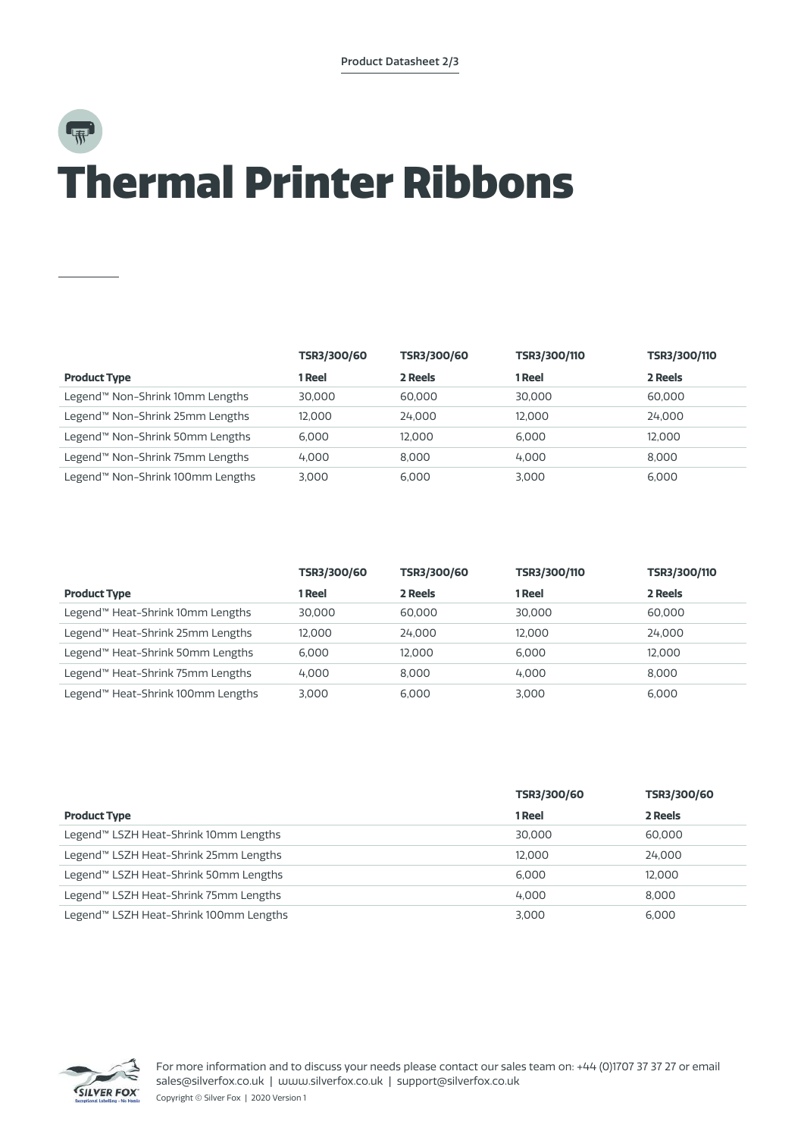## Thermal Printer Ribbons

|                                  | TSR3/300/60 | TSR3/300/60 | TSR3/300/110 | TSR3/300/110 |
|----------------------------------|-------------|-------------|--------------|--------------|
| <b>Product Type</b>              | 1 Reel      | 2 Reels     | 1 Reel       | 2 Reels      |
| Legend™ Non-Shrink 10mm Lengths  | 30,000      | 60,000      | 30,000       | 60,000       |
| Legend™ Non-Shrink 25mm Lengths  | 12.000      | 24.000      | 12.000       | 24,000       |
| Legend™ Non-Shrink 50mm Lengths  | 6.000       | 12.000      | 6.000        | 12.000       |
| Legend™ Non-Shrink 75mm Lengths  | 4.000       | 8.000       | 4.000        | 8.000        |
| Legend™ Non-Shrink 100mm Lengths | 3.000       | 6.000       | 3.000        | 6.000        |

|                                   | TSR3/300/60 | TSR3/300/60 | TSR3/300/110 | TSR3/300/110 |
|-----------------------------------|-------------|-------------|--------------|--------------|
| <b>Product Type</b>               | 1 Reel      | 2 Reels     | 1 Reel       | 2 Reels      |
| Legend™ Heat-Shrink 10mm Lengths  | 30,000      | 60,000      | 30,000       | 60,000       |
| Legend™ Heat-Shrink 25mm Lengths  | 12.000      | 24.000      | 12.000       | 24,000       |
| Legend™ Heat-Shrink 50mm Lengths  | 6.000       | 12.000      | 6.000        | 12.000       |
| Legend™ Heat-Shrink 75mm Lengths  | 4.000       | 8.000       | 4.000        | 8.000        |
| Legend™ Heat-Shrink 100mm Lengths | 3.000       | 6.000       | 3.000        | 6.000        |

|                                        | TSR3/300/60 | TSR3/300/60 |
|----------------------------------------|-------------|-------------|
| <b>Product Type</b>                    | 1 Reel      | 2 Reels     |
| Legend™ LSZH Heat-Shrink 10mm Lengths  | 30.000      | 60,000      |
| Legend™ LSZH Heat-Shrink 25mm Lengths  | 12.000      | 24.000      |
| Legend™ LSZH Heat-Shrink 50mm Lengths  | 6.000       | 12.000      |
| Legend™ LSZH Heat-Shrink 75mm Lengths  | 4.000       | 8.000       |
| Legend™ LSZH Heat-Shrink 100mm Lengths | 3.000       | 6.000       |